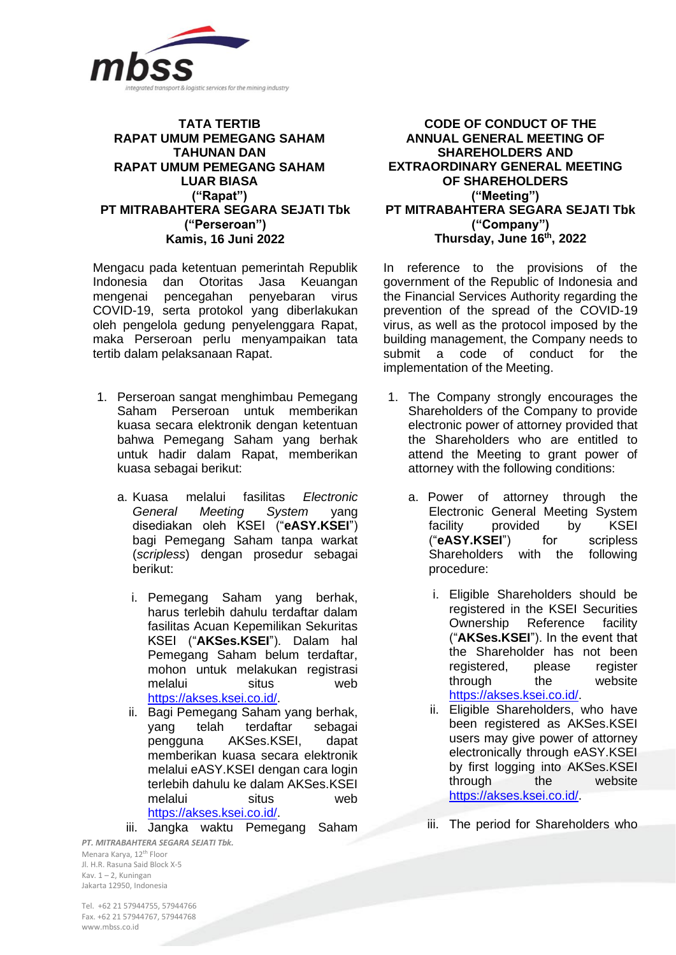

## **TATA TERTIB RAPAT UMUM PEMEGANG SAHAM TAHUNAN DAN RAPAT UMUM PEMEGANG SAHAM LUAR BIASA ("Rapat") PT MITRABAHTERA SEGARA SEJATI Tbk ("Perseroan") Kamis, 16 Juni 2022**

Mengacu pada ketentuan pemerintah Republik Indonesia dan Otoritas Jasa Keuangan mengenai pencegahan penyebaran virus COVID-19, serta protokol yang diberlakukan oleh pengelola gedung penyelenggara Rapat, maka Perseroan perlu menyampaikan tata tertib dalam pelaksanaan Rapat.

- 1. Perseroan sangat menghimbau Pemegang Saham Perseroan untuk memberikan kuasa secara elektronik dengan ketentuan bahwa Pemegang Saham yang berhak untuk hadir dalam Rapat, memberikan kuasa sebagai berikut:
	- a. Kuasa melalui fasilitas *Electronic General Meeting System* yang disediakan oleh KSEI ("**eASY.KSEI**") bagi Pemegang Saham tanpa warkat (*scripless*) dengan prosedur sebagai berikut:
		- i. Pemegang Saham yang berhak, harus terlebih dahulu terdaftar dalam fasilitas Acuan Kepemilikan Sekuritas KSEI ("**AKSes.KSEI**"). Dalam hal Pemegang Saham belum terdaftar, mohon untuk melakukan registrasi melalui situs web [https://akses.ksei.co.id/.](https://akses.ksei.co.id/)
		- ii. Bagi Pemegang Saham yang berhak, yang telah terdaftar sebagai pengguna AKSes.KSEI, dapat memberikan kuasa secara elektronik melalui eASY.KSEI dengan cara login terlebih dahulu ke dalam AKSes.KSEI melalui situs web [https://akses.ksei.co.id/.](https://akses.ksei.co.id/)

iii. Jangka waktu Pemegang Saham

**CODE OF CONDUCT OF THE ANNUAL GENERAL MEETING OF SHAREHOLDERS AND EXTRAORDINARY GENERAL MEETING OF SHAREHOLDERS ("Meeting") PT MITRABAHTERA SEGARA SEJATI Tbk ("Company") Thursday, June 16th , 2022**

In reference to the provisions of the government of the Republic of Indonesia and the Financial Services Authority regarding the prevention of the spread of the COVID-19 virus, as well as the protocol imposed by the building management, the Company needs to submit a code of conduct for the implementation of the Meeting.

- 1. The Company strongly encourages the Shareholders of the Company to provide electronic power of attorney provided that the Shareholders who are entitled to attend the Meeting to grant power of attorney with the following conditions:
	- a. Power of attorney through the Electronic General Meeting System facility provided by KSEI ("**eASY.KSEI**") for scripless Shareholders with the following procedure:
		- i. Eligible Shareholders should be registered in the KSEI Securities Ownership Reference facility ("**AKSes.KSEI**"). In the event that the Shareholder has not been registered, please register through the website [https://akses.ksei.co.id/.](https://akses.ksei.co.id/)
		- ii. Eligible Shareholders, who have been registered as AKSes.KSEI users may give power of attorney electronically through eASY.KSEI by first logging into AKSes.KSEI through the website [https://akses.ksei.co.id/.](https://akses.ksei.co.id/)
		- iii. The period for Shareholders who

*PT. MITRABAHTERA SEGARA SEJATI Tbk.* Menara Karya, 12th Floor Jl. H.R. Rasuna Said Block X-5 Kav. 1 – 2, Kuningan Jakarta 12950, Indonesia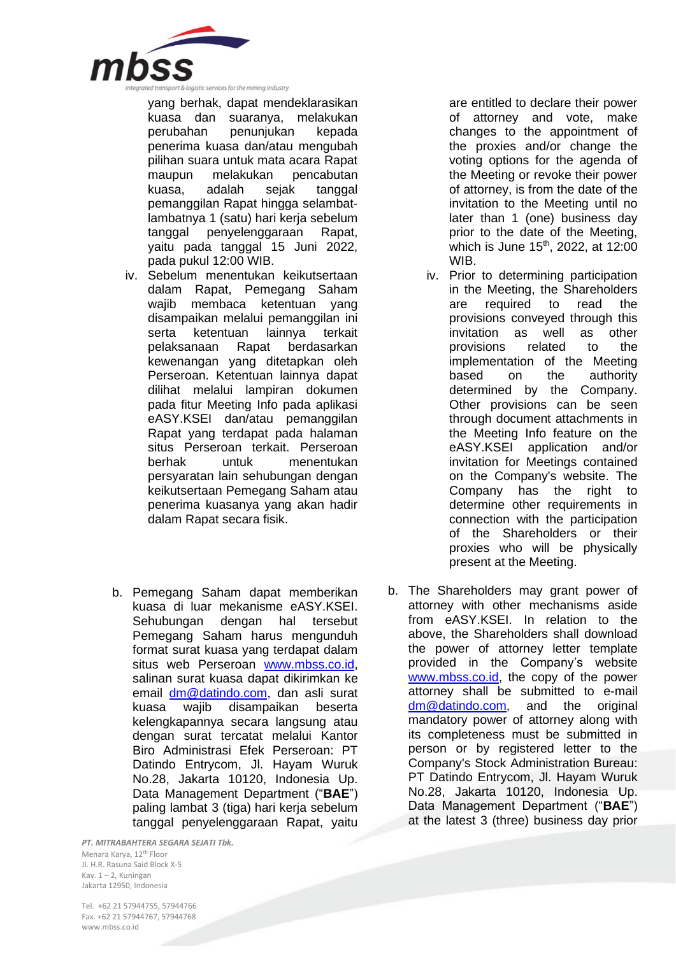

yang berhak, dapat mendeklarasikan kuasa dan suaranya, melakukan<br>perubahan penuniukan kepada penunjukan kepada penerima kuasa dan/atau mengubah pilihan suara untuk mata acara Rapat maupun melakukan pencabutan kuasa, adalah sejak tanggal pemanggilan Rapat hingga selambatlambatnya 1 (satu) hari kerja sebelum tanggal penyelenggaraan Rapat, yaitu pada tanggal 15 Juni 2022, pada pukul 12:00 WIB.

- iv. Sebelum menentukan keikutsertaan dalam Rapat, Pemegang Saham wajib membaca ketentuan yang disampaikan melalui pemanggilan ini serta ketentuan lainnya terkait pelaksanaan Rapat berdasarkan kewenangan yang ditetapkan oleh Perseroan. Ketentuan lainnya dapat dilihat melalui lampiran dokumen pada fitur Meeting Info pada aplikasi eASY.KSEI dan/atau pemanggilan Rapat yang terdapat pada halaman situs Perseroan terkait. Perseroan berhak untuk menentukan persyaratan lain sehubungan dengan keikutsertaan Pemegang Saham atau penerima kuasanya yang akan hadir dalam Rapat secara fisik.
- b. Pemegang Saham dapat memberikan kuasa di luar mekanisme eASY.KSEI. Sehubungan dengan hal tersebut Pemegang Saham harus mengunduh format surat kuasa yang terdapat dalam situs web Perseroan [www.mbss.co.id,](http://www.mbss.co.id/) salinan surat kuasa dapat dikirimkan ke email [dm@datindo.com,](mailto:dm@datindo.com) dan asli surat kuasa wajib disampaikan beserta kelengkapannya secara langsung atau dengan surat tercatat melalui Kantor Biro Administrasi Efek Perseroan: PT Datindo Entrycom, Jl. Hayam Wuruk No.28, Jakarta 10120, Indonesia Up. Data Management Department ("**BAE**") paling lambat 3 (tiga) hari kerja sebelum tanggal penyelenggaraan Rapat, yaitu

*PT. MITRABAHTERA SEGARA SEJATI Tbk.* Menara Karya, 12th Floor Jl. H.R. Rasuna Said Block X-5 Kav. 1 – 2, Kuningan Jakarta 12950, Indonesia

are entitled to declare their power of attorney and vote, make changes to the appointment of the proxies and/or change the voting options for the agenda of the Meeting or revoke their power of attorney, is from the date of the invitation to the Meeting until no later than 1 (one) business day prior to the date of the Meeting, which is June 15<sup>th</sup>, 2022, at 12:00 WIB.

- iv. Prior to determining participation in the Meeting, the Shareholders are required to read the provisions conveyed through this invitation as well as other provisions related to the implementation of the Meeting based on the authority determined by the Company. Other provisions can be seen through document attachments in the Meeting Info feature on the eASY.KSEI application and/or invitation for Meetings contained on the Company's website. The Company has the right to determine other requirements in connection with the participation of the Shareholders or their proxies who will be physically present at the Meeting.
- b. The Shareholders may grant power of attorney with other mechanisms aside from eASY.KSEI. In relation to the above, the Shareholders shall download the power of attorney letter template provided in the Company's website [www.mbss.co.id,](http://www.mbss.co.id/) the copy of the power attorney shall be submitted to e-mail [dm@datindo.com,](mailto:dm@datindo.com) and the original mandatory power of attorney along with its completeness must be submitted in person or by registered letter to the Company's Stock Administration Bureau: PT Datindo Entrycom, Jl. Hayam Wuruk No.28, Jakarta 10120, Indonesia Up. Data Management Department ("**BAE**") at the latest 3 (three) business day prior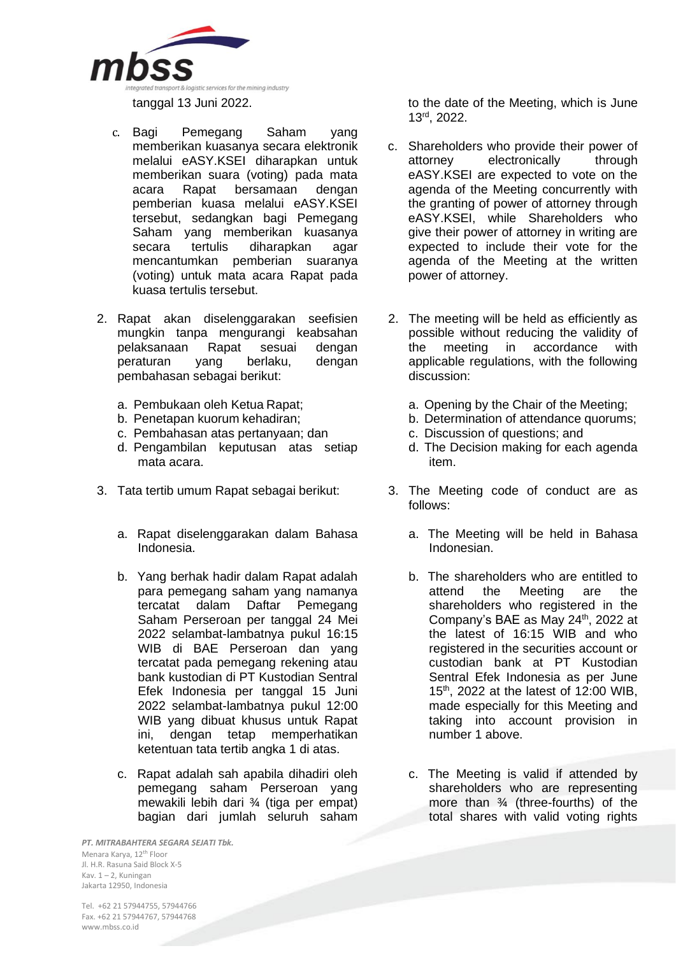

- c. Bagi Pemegang Saham yang memberikan kuasanya secara elektronik melalui eASY.KSEI diharapkan untuk memberikan suara (voting) pada mata acara Rapat bersamaan dengan pemberian kuasa melalui eASY.KSEI tersebut, sedangkan bagi Pemegang Saham yang memberikan kuasanya<br>secara tertulis diharapkan agar secara tertulis diharapkan agar mencantumkan pemberian suaranya (voting) untuk mata acara Rapat pada kuasa tertulis tersebut.
- 2. Rapat akan diselenggarakan seefisien mungkin tanpa mengurangi keabsahan pelaksanaan Rapat sesuai dengan peraturan yang berlaku, dengan pembahasan sebagai berikut:
	-
	-
	- c. Pembahasan atas pertanyaan; dan c. Discussion of questions; and
	- d. Pengambilan keputusan atas setiap mata acara.
- - a. Rapat diselenggarakan dalam Bahasa Indonesia.
	- b. Yang berhak hadir dalam Rapat adalah para pemegang saham yang namanya tercatat dalam Daftar Pemegang Saham Perseroan per tanggal 24 Mei 2022 selambat-lambatnya pukul 16:15 WIB di BAE Perseroan dan yang tercatat pada pemegang rekening atau bank kustodian di PT Kustodian Sentral Efek Indonesia per tanggal 15 Juni 2022 selambat-lambatnya pukul 12:00 WIB yang dibuat khusus untuk Rapat ini, dengan tetap memperhatikan ketentuan tata tertib angka 1 di atas.
	- c. Rapat adalah sah apabila dihadiri oleh pemegang saham Perseroan yang mewakili lebih dari ¾ (tiga per empat) bagian dari jumlah seluruh saham

*PT. MITRABAHTERA SEGARA SEJATI Tbk.* Menara Karya, 12th Floor Jl. H.R. Rasuna Said Block X-5 Kav. 1 – 2, Kuningan Jakarta 12950, Indonesia

to the date of the Meeting, which is June 13 rd, 2022.

- c. Shareholders who provide their power of<br>attorney electronically through electronically through eASY.KSEI are expected to vote on the agenda of the Meeting concurrently with the granting of power of attorney through eASY.KSEI, while Shareholders who give their power of attorney in writing are expected to include their vote for the agenda of the Meeting at the written power of attorney.
- 2. The meeting will be held as efficiently as possible without reducing the validity of the meeting in accordance with applicable regulations, with the following discussion:
- a. Pembukaan oleh Ketua Rapat; a. Opening by the Chair of the Meeting;
- b. Penetapan kuorum kehadiran; b. Determination of attendance quorums;
	-
	- d. The Decision making for each agenda item.
- 3. Tata tertib umum Rapat sebagai berikut: 3. The Meeting code of conduct are as follows:
	- a. The Meeting will be held in Bahasa Indonesian.
	- b. The shareholders who are entitled to attend the Meeting are the shareholders who registered in the Company's BAE as May 24<sup>th</sup>, 2022 at the latest of 16:15 WIB and who registered in the securities account or custodian bank at PT Kustodian Sentral Efek Indonesia as per June 15<sup>th</sup>, 2022 at the latest of 12:00 WIB, made especially for this Meeting and taking into account provision in number 1 above.
	- c. The Meeting is valid if attended by shareholders who are representing more than ¾ (three-fourths) of the total shares with valid voting rights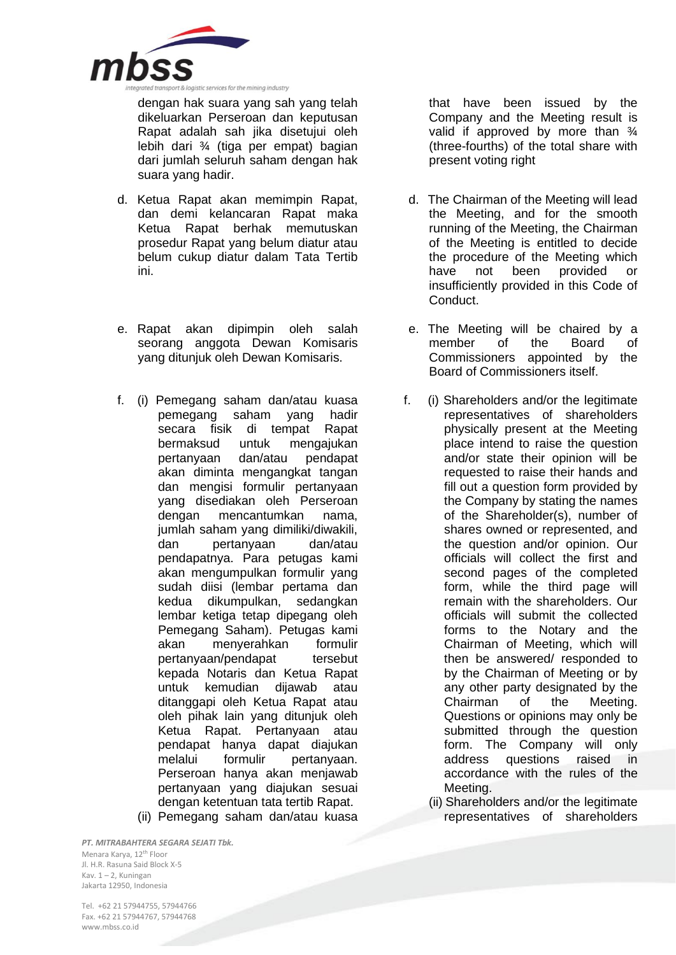

dengan hak suara yang sah yang telah dikeluarkan Perseroan dan keputusan Rapat adalah sah jika disetujui oleh lebih dari ¾ (tiga per empat) bagian dari jumlah seluruh saham dengan hak suara yang hadir.

- d. Ketua Rapat akan memimpin Rapat, dan demi kelancaran Rapat maka Ketua Rapat berhak memutuskan prosedur Rapat yang belum diatur atau belum cukup diatur dalam Tata Tertib ini.
- e. Rapat akan dipimpin oleh salah seorang anggota Dewan Komisaris yang ditunjuk oleh Dewan Komisaris.
- f. (i) Pemegang saham dan/atau kuasa pemegang saham yang hadir secara fisik di tempat Rapat bermaksud untuk mengajukan pertanyaan dan/atau pendapat akan diminta mengangkat tangan dan mengisi formulir pertanyaan yang disediakan oleh Perseroan dengan mencantumkan nama, jumlah saham yang dimiliki/diwakili, dan pertanyaan dan/atau pendapatnya. Para petugas kami akan mengumpulkan formulir yang sudah diisi (lembar pertama dan kedua dikumpulkan, sedangkan lembar ketiga tetap dipegang oleh Pemegang Saham). Petugas kami akan menyerahkan formulir pertanyaan/pendapat tersebut kepada Notaris dan Ketua Rapat untuk kemudian dijawab atau ditanggapi oleh Ketua Rapat atau oleh pihak lain yang ditunjuk oleh Ketua Rapat. Pertanyaan atau pendapat hanya dapat diajukan melalui formulir pertanyaan. Perseroan hanya akan menjawab pertanyaan yang diajukan sesuai dengan ketentuan tata tertib Rapat. (ii) Pemegang saham dan/atau kuasa

that have been issued by the Company and the Meeting result is valid if approved by more than  $\frac{3}{4}$ (three-fourths) of the total share with present voting right

- d. The Chairman of the Meeting will lead the Meeting, and for the smooth running of the Meeting, the Chairman of the Meeting is entitled to decide the procedure of the Meeting which have not been provided or insufficiently provided in this Code of Conduct.
- e. The Meeting will be chaired by a member of the Board of Commissioners appointed by the Board of Commissioners itself.
- f. (i) Shareholders and/or the legitimate representatives of shareholders physically present at the Meeting place intend to raise the question and/or state their opinion will be requested to raise their hands and fill out a question form provided by the Company by stating the names of the Shareholder(s), number of shares owned or represented, and the question and/or opinion. Our officials will collect the first and second pages of the completed form, while the third page will remain with the shareholders. Our officials will submit the collected forms to the Notary and the Chairman of Meeting, which will then be answered/ responded to by the Chairman of Meeting or by any other party designated by the Chairman of the Meeting. Questions or opinions may only be submitted through the question form. The Company will only address questions raised in accordance with the rules of the Meeting.
	- (ii) Shareholders and/or the legitimate representatives of shareholders

*PT. MITRABAHTERA SEGARA SEJATI Tbk.* Menara Karya, 12th Floor Jl. H.R. Rasuna Said Block X-5 Kav. 1 – 2, Kuningan Jakarta 12950, Indonesia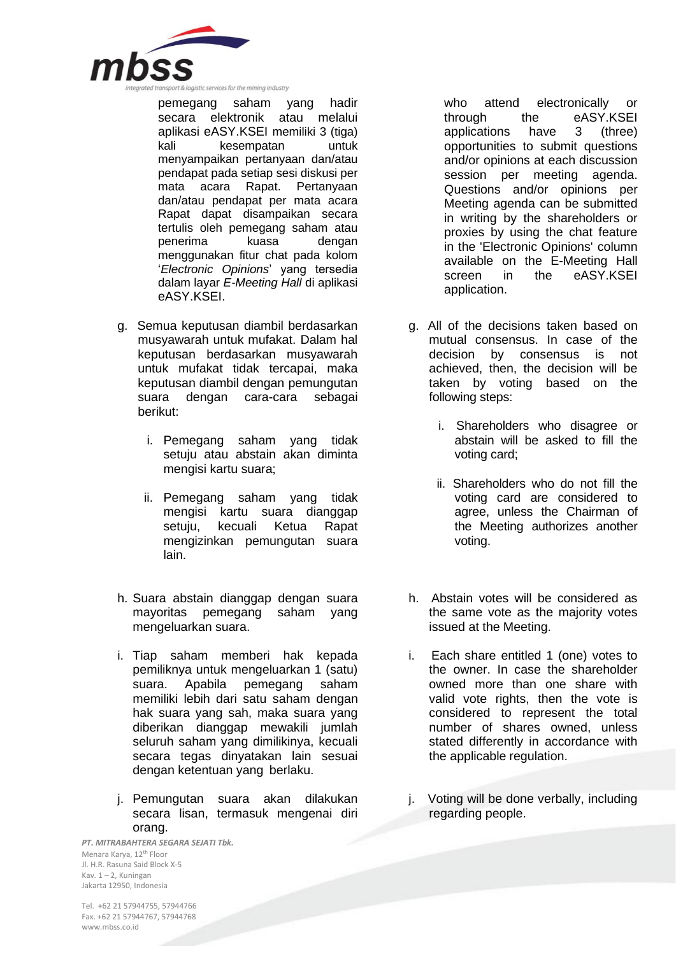

pemegang saham yang hadir secara elektronik atau melalui aplikasi eASY.KSEI memiliki 3 (tiga) kali kesempatan untuk menyampaikan pertanyaan dan/atau pendapat pada setiap sesi diskusi per mata acara Rapat. Pertanyaan dan/atau pendapat per mata acara Rapat dapat disampaikan secara tertulis oleh pemegang saham atau penerima kuasa dengan menggunakan fitur chat pada kolom '*Electronic Opinions*' yang tersedia dalam layar *E-Meeting Hall* di aplikasi eASY.KSEI.

- g. Semua keputusan diambil berdasarkan musyawarah untuk mufakat. Dalam hal keputusan berdasarkan musyawarah untuk mufakat tidak tercapai, maka keputusan diambil dengan pemungutan suara dengan cara-cara sebagai berikut:
	- i. Pemegang saham yang tidak setuju atau abstain akan diminta mengisi kartu suara;
	- ii. Pemegang saham yang tidak mengisi kartu suara dianggap setuju, kecuali Ketua Rapat mengizinkan pemungutan suara lain.
- h. Suara abstain dianggap dengan suara mayoritas pemegang saham yang mengeluarkan suara.
- i. Tiap saham memberi hak kepada pemiliknya untuk mengeluarkan 1 (satu) suara. Apabila pemegang saham memiliki lebih dari satu saham dengan hak suara yang sah, maka suara yang diberikan dianggap mewakili jumlah seluruh saham yang dimilikinya, kecuali secara tegas dinyatakan lain sesuai dengan ketentuan yang berlaku.
- j. Pemungutan suara akan dilakukan secara lisan, termasuk mengenai diri orang.

*PT. MITRABAHTERA SEGARA SEJATI Tbk.* Menara Karya, 12th Floor Jl. H.R. Rasuna Said Block X-5 Kav. 1 – 2, Kuningan Jakarta 12950, Indonesia

who attend electronically or through the eASY.KSEI<br>applications have 3 (three) applications have 3 (three) opportunities to submit questions and/or opinions at each discussion session per meeting agenda. Questions and/or opinions per Meeting agenda can be submitted in writing by the shareholders or proxies by using the chat feature in the 'Electronic Opinions' column available on the E-Meeting Hall screen in the eASY.KSEI application.

- g. All of the decisions taken based on mutual consensus. In case of the decision by consensus is not achieved, then, the decision will be taken by voting based on the following steps:
	- i. Shareholders who disagree or abstain will be asked to fill the voting card;
	- ii. Shareholders who do not fill the voting card are considered to agree, unless the Chairman of the Meeting authorizes another voting.
- h. Abstain votes will be considered as the same vote as the majority votes issued at the Meeting.
- i. Each share entitled 1 (one) votes to the owner. In case the shareholder owned more than one share with valid vote rights, then the vote is considered to represent the total number of shares owned, unless stated differently in accordance with the applicable regulation.
- j. Voting will be done verbally, including regarding people.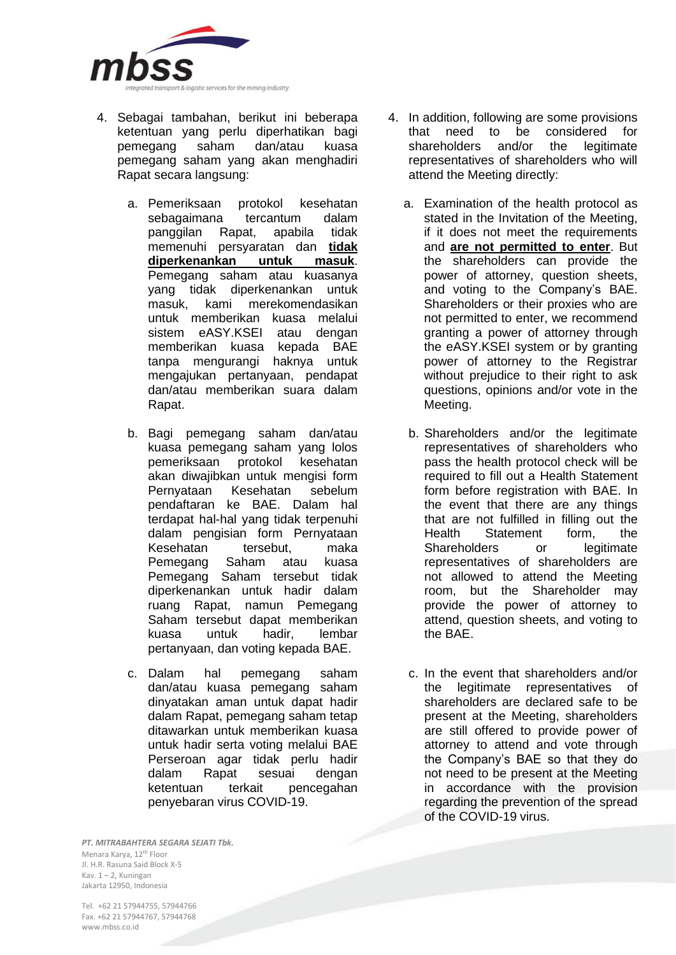

- 4. Sebagai tambahan, berikut ini beberapa ketentuan yang perlu diperhatikan bagi pemegang saham dan/atau kuasa pemegang saham yang akan menghadiri Rapat secara langsung:
	- a. Pemeriksaan protokol kesehatan sebagaimana panggilan Rapat, apabila tidak memenuhi persyaratan dan **tidak diperkenankan untuk masuk**. Pemegang saham atau kuasanya yang tidak diperkenankan untuk masuk, kami merekomendasikan untuk memberikan kuasa melalui sistem eASY.KSEI atau dengan memberikan kuasa kepada BAE tanpa mengurangi haknya untuk mengajukan pertanyaan, pendapat dan/atau memberikan suara dalam Rapat.
	- b. Bagi pemegang saham dan/atau kuasa pemegang saham yang lolos pemeriksaan protokol kesehatan akan diwajibkan untuk mengisi form Pernyataan Kesehatan sebelum pendaftaran ke BAE. Dalam hal terdapat hal-hal yang tidak terpenuhi dalam pengisian form Pernyataan Kesehatan tersebut, maka Pemegang Saham atau kuasa Pemegang Saham tersebut tidak diperkenankan untuk hadir dalam ruang Rapat, namun Pemegang Saham tersebut dapat memberikan kuasa untuk hadir, lembar pertanyaan, dan voting kepada BAE.
	- c. Dalam hal pemegang saham dan/atau kuasa pemegang saham dinyatakan aman untuk dapat hadir dalam Rapat, pemegang saham tetap ditawarkan untuk memberikan kuasa untuk hadir serta voting melalui BAE Perseroan agar tidak perlu hadir dalam Rapat sesuai dengan ketentuan terkait pencegahan penyebaran virus COVID-19.
- 4. In addition, following are some provisions<br>that need to be considered for that need to be shareholders and/or the legitimate representatives of shareholders who will attend the Meeting directly:
	- a. Examination of the health protocol as stated in the Invitation of the Meeting, if it does not meet the requirements and **are not permitted to enter**. But the shareholders can provide the power of attorney, question sheets, and voting to the Company's BAE. Shareholders or their proxies who are not permitted to enter, we recommend granting a power of attorney through the eASY.KSEI system or by granting power of attorney to the Registrar without prejudice to their right to ask questions, opinions and/or vote in the Meeting.
	- b. Shareholders and/or the legitimate representatives of shareholders who pass the health protocol check will be required to fill out a Health Statement form before registration with BAE. In the event that there are any things that are not fulfilled in filling out the Health Statement form, the Shareholders or legitimate representatives of shareholders are not allowed to attend the Meeting room, but the Shareholder may provide the power of attorney to attend, question sheets, and voting to the BAE.
	- c. In the event that shareholders and/or the legitimate representatives of shareholders are declared safe to be present at the Meeting, shareholders are still offered to provide power of attorney to attend and vote through the Company's BAE so that they do not need to be present at the Meeting in accordance with the provision regarding the prevention of the spread of the COVID-19 virus.

*PT. MITRABAHTERA SEGARA SEJATI Tbk.* Menara Karya, 12th Floor Jl. H.R. Rasuna Said Block X-5 Kav. 1 – 2, Kuningan Jakarta 12950, Indonesia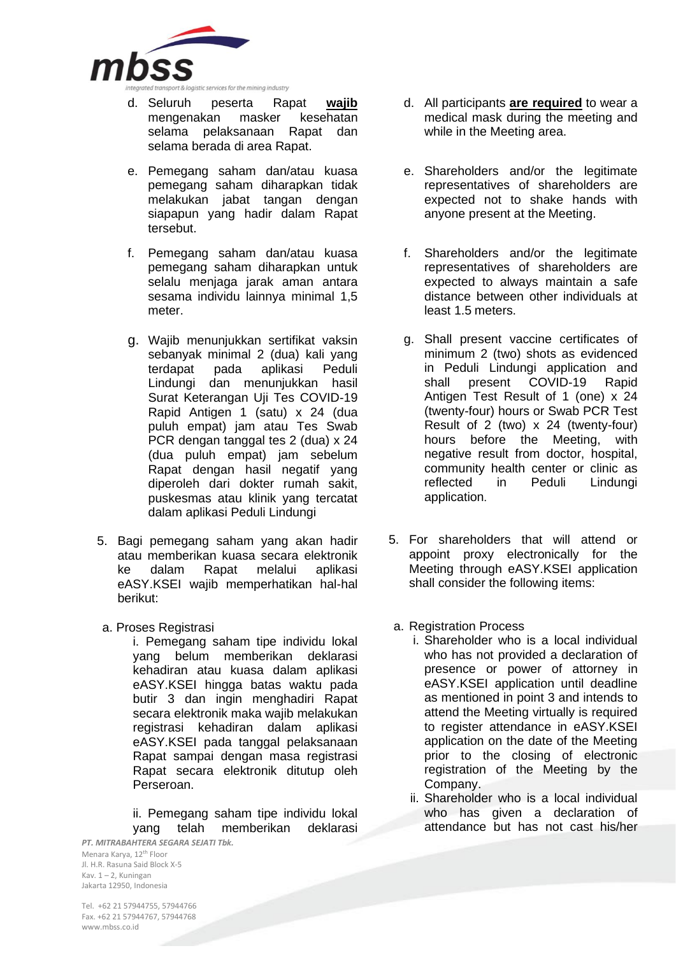

- d. Seluruh peserta Rapat **wajib** mengenakan masker kesehatan selama pelaksanaan Rapat dan selama berada di area Rapat.
- e. Pemegang saham dan/atau kuasa pemegang saham diharapkan tidak melakukan jabat tangan dengan siapapun yang hadir dalam Rapat tersebut.
- f. Pemegang saham dan/atau kuasa pemegang saham diharapkan untuk selalu menjaga jarak aman antara sesama individu lainnya minimal 1,5 meter.
- g. Wajib menunjukkan sertifikat vaksin sebanyak minimal 2 (dua) kali yang terdapat pada aplikasi Peduli Lindungi dan menunjukkan hasil Surat Keterangan Uji Tes COVID-19 Rapid Antigen 1 (satu) x 24 (dua puluh empat) jam atau Tes Swab PCR dengan tanggal tes 2 (dua) x 24 (dua puluh empat) jam sebelum Rapat dengan hasil negatif yang diperoleh dari dokter rumah sakit, puskesmas atau klinik yang tercatat dalam aplikasi Peduli Lindungi
- 5. Bagi pemegang saham yang akan hadir atau memberikan kuasa secara elektronik ke dalam Rapat melalui aplikasi eASY.KSEI wajib memperhatikan hal-hal berikut:
- a. Proses Registrasi

i. Pemegang saham tipe individu lokal yang belum memberikan deklarasi kehadiran atau kuasa dalam aplikasi eASY.KSEI hingga batas waktu pada butir 3 dan ingin menghadiri Rapat secara elektronik maka wajib melakukan registrasi kehadiran dalam aplikasi eASY.KSEI pada tanggal pelaksanaan Rapat sampai dengan masa registrasi Rapat secara elektronik ditutup oleh Perseroan.

ii. Pemegang saham tipe individu lokal yang telah memberikan deklarasi

*PT. MITRABAHTERA SEGARA SEJATI Tbk.* Menara Karya, 12th Floor Jl. H.R. Rasuna Said Block X-5 Kav. 1 – 2, Kuningan Jakarta 12950, Indonesia

- d. All participants **are required** to wear a medical mask during the meeting and while in the Meeting area.
- e. Shareholders and/or the legitimate representatives of shareholders are expected not to shake hands with anyone present at the Meeting.
- f. Shareholders and/or the legitimate representatives of shareholders are expected to always maintain a safe distance between other individuals at least 1.5 meters.
- g. Shall present vaccine certificates of minimum 2 (two) shots as evidenced in Peduli Lindungi application and<br>shall present COVID-19 Rapid shall present COVID-19 Rapid Antigen Test Result of 1 (one) x 24 (twenty-four) hours or Swab PCR Test Result of 2 (two) x 24 (twenty-four) hours before the Meeting, with negative result from doctor, hospital, community health center or clinic as reflected in Peduli Lindungi application.
- 5. For shareholders that will attend or appoint proxy electronically for the Meeting through eASY.KSEI application shall consider the following items:
- a. Registration Process
	- i. Shareholder who is a local individual who has not provided a declaration of presence or power of attorney in eASY.KSEI application until deadline as mentioned in point 3 and intends to attend the Meeting virtually is required to register attendance in eASY.KSEI application on the date of the Meeting prior to the closing of electronic registration of the Meeting by the Company.
	- ii. Shareholder who is a local individual who has given a declaration of attendance but has not cast his/her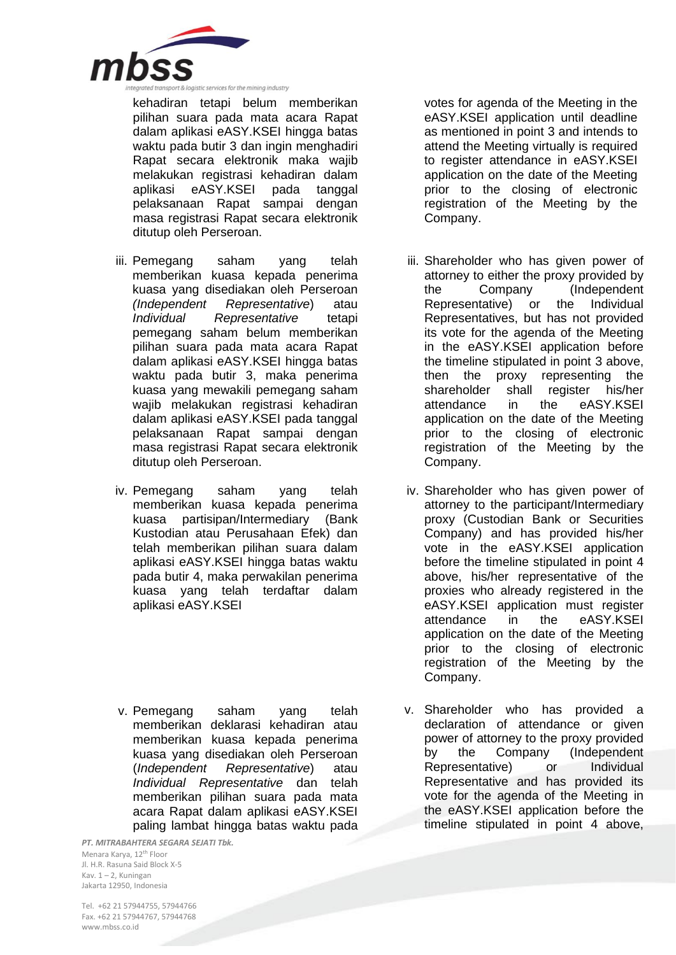

kehadiran tetapi belum memberikan pilihan suara pada mata acara Rapat dalam aplikasi eASY.KSEI hingga batas waktu pada butir 3 dan ingin menghadiri Rapat secara elektronik maka wajib melakukan registrasi kehadiran dalam aplikasi eASY.KSEI pada tanggal pelaksanaan Rapat sampai dengan masa registrasi Rapat secara elektronik ditutup oleh Perseroan.

- iii. Pemegang saham yang telah memberikan kuasa kepada penerima kuasa yang disediakan oleh Perseroan *(Independent Representative*) atau *Individual Representative* tetapi pemegang saham belum memberikan pilihan suara pada mata acara Rapat dalam aplikasi eASY.KSEI hingga batas waktu pada butir 3, maka penerima kuasa yang mewakili pemegang saham wajib melakukan registrasi kehadiran dalam aplikasi eASY.KSEI pada tanggal pelaksanaan Rapat sampai dengan masa registrasi Rapat secara elektronik ditutup oleh Perseroan.
- iv. Pemegang saham yang telah memberikan kuasa kepada penerima kuasa partisipan/Intermediary (Bank Kustodian atau Perusahaan Efek) dan telah memberikan pilihan suara dalam aplikasi eASY.KSEI hingga batas waktu pada butir 4, maka perwakilan penerima kuasa yang telah terdaftar dalam aplikasi eASY.KSEI
- v. Pemegang saham yang telah memberikan deklarasi kehadiran atau memberikan kuasa kepada penerima kuasa yang disediakan oleh Perseroan (*Independent Representative*) atau *Individual Representative* dan telah memberikan pilihan suara pada mata acara Rapat dalam aplikasi eASY.KSEI paling lambat hingga batas waktu pada

*PT. MITRABAHTERA SEGARA SEJATI Tbk.* Menara Karya, 12th Floor Jl. H.R. Rasuna Said Block X-5 Kav. 1 – 2, Kuningan Jakarta 12950, Indonesia

votes for agenda of the Meeting in the eASY.KSEI application until deadline as mentioned in point 3 and intends to attend the Meeting virtually is required to register attendance in eASY.KSEI application on the date of the Meeting prior to the closing of electronic registration of the Meeting by the Company.

- iii. Shareholder who has given power of attorney to either the proxy provided by the Company (Independent Representative) or the Individual Representatives, but has not provided its vote for the agenda of the Meeting in the eASY.KSEI application before the timeline stipulated in point 3 above, then the proxy representing the shareholder shall register his/her attendance in the eASY.KSEI application on the date of the Meeting prior to the closing of electronic registration of the Meeting by the Company.
- iv. Shareholder who has given power of attorney to the participant/Intermediary proxy (Custodian Bank or Securities Company) and has provided his/her vote in the eASY.KSEI application before the timeline stipulated in point 4 above, his/her representative of the proxies who already registered in the eASY.KSEI application must register attendance in the eASY.KSEI application on the date of the Meeting prior to the closing of electronic registration of the Meeting by the Company.
- v. Shareholder who has provided a declaration of attendance or given power of attorney to the proxy provided by the Company (Independent Representative) or Individual Representative and has provided its vote for the agenda of the Meeting in the eASY.KSEI application before the timeline stipulated in point 4 above,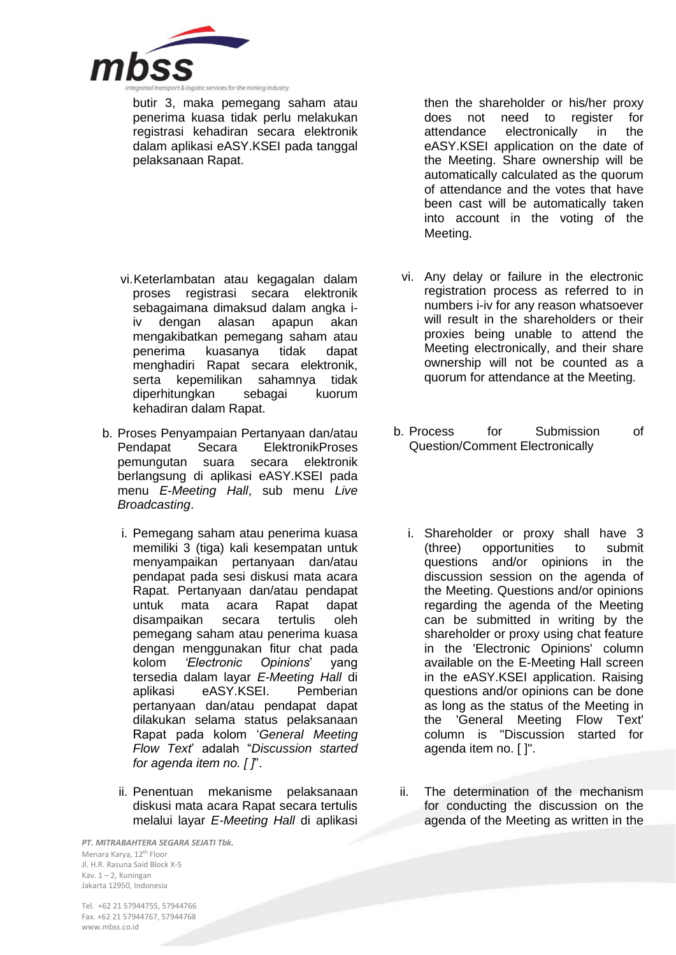

butir 3, maka pemegang saham atau penerima kuasa tidak perlu melakukan registrasi kehadiran secara elektronik dalam aplikasi eASY.KSEI pada tanggal pelaksanaan Rapat.

- vi.Keterlambatan atau kegagalan dalam proses registrasi secara elektronik sebagaimana dimaksud dalam angka iiv dengan alasan apapun akan mengakibatkan pemegang saham atau penerima kuasanya tidak dapat menghadiri Rapat secara elektronik, serta kepemilikan sahamnya tidak diperhitungkan sebagai kuorum kehadiran dalam Rapat.
- b. Proses Penyampaian Pertanyaan dan/atau Pendapat Secara ElektronikProses pemungutan suara secara elektronik berlangsung di aplikasi eASY.KSEI pada menu *E-Meeting Hall*, sub menu *Live Broadcasting*.
	- i. Pemegang saham atau penerima kuasa memiliki 3 (tiga) kali kesempatan untuk menyampaikan pertanyaan dan/atau pendapat pada sesi diskusi mata acara Rapat. Pertanyaan dan/atau pendapat untuk mata acara Rapat dapat disampaikan secara tertulis oleh pemegang saham atau penerima kuasa dengan menggunakan fitur chat pada kolom *'Electronic Opinions*' yang tersedia dalam layar *E-Meeting Hall* di aplikasi eASY.KSEI. Pemberian pertanyaan dan/atau pendapat dapat dilakukan selama status pelaksanaan Rapat pada kolom '*General Meeting Flow Text*' adalah "*Discussion started for agenda item no. [ ]*".
	- ii. Penentuan mekanisme pelaksanaan diskusi mata acara Rapat secara tertulis melalui layar *E-Meeting Hall* di aplikasi

*PT. MITRABAHTERA SEGARA SEJATI Tbk.* Menara Karya, 12th Floor Jl. H.R. Rasuna Said Block X-5 Kav. 1 – 2, Kuningan Jakarta 12950, Indonesia

then the shareholder or his/her proxy does not need to register for<br>attendance electronically in the electronically in the eASY.KSEI application on the date of the Meeting. Share ownership will be automatically calculated as the quorum of attendance and the votes that have been cast will be automatically taken into account in the voting of the Meeting.

- vi. Any delay or failure in the electronic registration process as referred to in numbers i-iv for any reason whatsoever will result in the shareholders or their proxies being unable to attend the Meeting electronically, and their share ownership will not be counted as a quorum for attendance at the Meeting.
- b. Process for Submission of Question/Comment Electronically
	- i. Shareholder or proxy shall have 3 (three) opportunities to submit questions and/or opinions in the discussion session on the agenda of the Meeting. Questions and/or opinions regarding the agenda of the Meeting can be submitted in writing by the shareholder or proxy using chat feature in the 'Electronic Opinions' column available on the E-Meeting Hall screen in the eASY.KSEI application. Raising questions and/or opinions can be done as long as the status of the Meeting in the 'General Meeting Flow Text' column is "Discussion started for agenda item no. [ ]".
	- ii. The determination of the mechanism for conducting the discussion on the agenda of the Meeting as written in the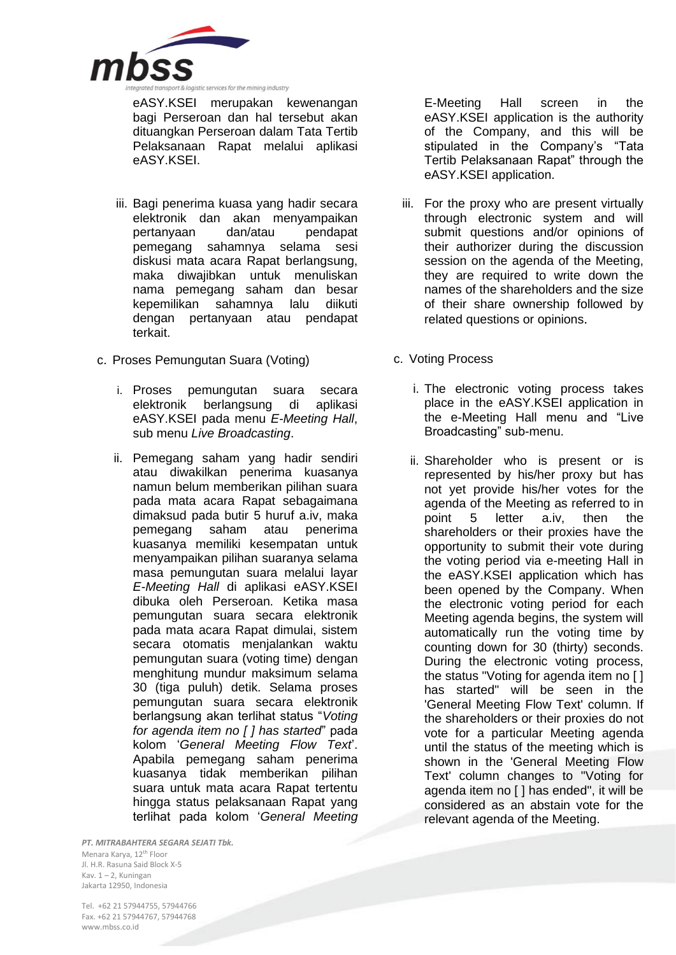

eASY.KSEI merupakan kewenangan bagi Perseroan dan hal tersebut akan dituangkan Perseroan dalam Tata Tertib Pelaksanaan Rapat melalui aplikasi eASY.KSEI.

- iii. Bagi penerima kuasa yang hadir secara elektronik dan akan menyampaikan pertanyaan dan/atau pendapat pemegang sahamnya selama sesi diskusi mata acara Rapat berlangsung, maka diwajibkan untuk menuliskan nama pemegang saham dan besar kepemilikan sahamnya lalu diikuti dengan pertanyaan atau pendapat terkait.
- c. Proses Pemungutan Suara (Voting)
	- i. Proses pemungutan suara secara elektronik berlangsung di aplikasi eASY.KSEI pada menu *E-Meeting Hall*, sub menu *Live Broadcasting*.
	- ii. Pemegang saham yang hadir sendiri atau diwakilkan penerima kuasanya namun belum memberikan pilihan suara pada mata acara Rapat sebagaimana dimaksud pada butir 5 huruf a.iv, maka pemegang saham atau penerima kuasanya memiliki kesempatan untuk menyampaikan pilihan suaranya selama masa pemungutan suara melalui layar *E-Meeting Hall* di aplikasi eASY.KSEI dibuka oleh Perseroan. Ketika masa pemungutan suara secara elektronik pada mata acara Rapat dimulai, sistem secara otomatis menjalankan waktu pemungutan suara (voting time) dengan menghitung mundur maksimum selama 30 (tiga puluh) detik. Selama proses pemungutan suara secara elektronik berlangsung akan terlihat status "*Voting for agenda item no [ ] has started*" pada kolom '*General Meeting Flow Text*'. Apabila pemegang saham penerima kuasanya tidak memberikan pilihan suara untuk mata acara Rapat tertentu hingga status pelaksanaan Rapat yang terlihat pada kolom '*General Meeting*

*PT. MITRABAHTERA SEGARA SEJATI Tbk.* Menara Karya, 12th Floor Jl. H.R. Rasuna Said Block X-5 Kav. 1 – 2, Kuningan Jakarta 12950, Indonesia

Tel. +62 21 57944755, 57944766 Fax. +62 21 57944767, 57944768 www.mbss.co.id

E-Meeting Hall screen in the eASY.KSEI application is the authority of the Company, and this will be stipulated in the Company's "Tata Tertib Pelaksanaan Rapat" through the eASY.KSEI application.

- iii. For the proxy who are present virtually through electronic system and will submit questions and/or opinions of their authorizer during the discussion session on the agenda of the Meeting, they are required to write down the names of the shareholders and the size of their share ownership followed by related questions or opinions.
- c. Voting Process
	- i. The electronic voting process takes place in the eASY.KSEI application in the e-Meeting Hall menu and "Live Broadcasting" sub-menu.
	- ii. Shareholder who is present or is represented by his/her proxy but has not yet provide his/her votes for the agenda of the Meeting as referred to in point 5 letter a.iv, then the shareholders or their proxies have the opportunity to submit their vote during the voting period via e-meeting Hall in the eASY.KSEI application which has been opened by the Company. When the electronic voting period for each Meeting agenda begins, the system will automatically run the voting time by counting down for 30 (thirty) seconds. During the electronic voting process, the status "Voting for agenda item no [ ] has started" will be seen in the 'General Meeting Flow Text' column. If the shareholders or their proxies do not vote for a particular Meeting agenda until the status of the meeting which is shown in the 'General Meeting Flow Text' column changes to "Voting for agenda item no [ ] has ended", it will be considered as an abstain vote for the relevant agenda of the Meeting.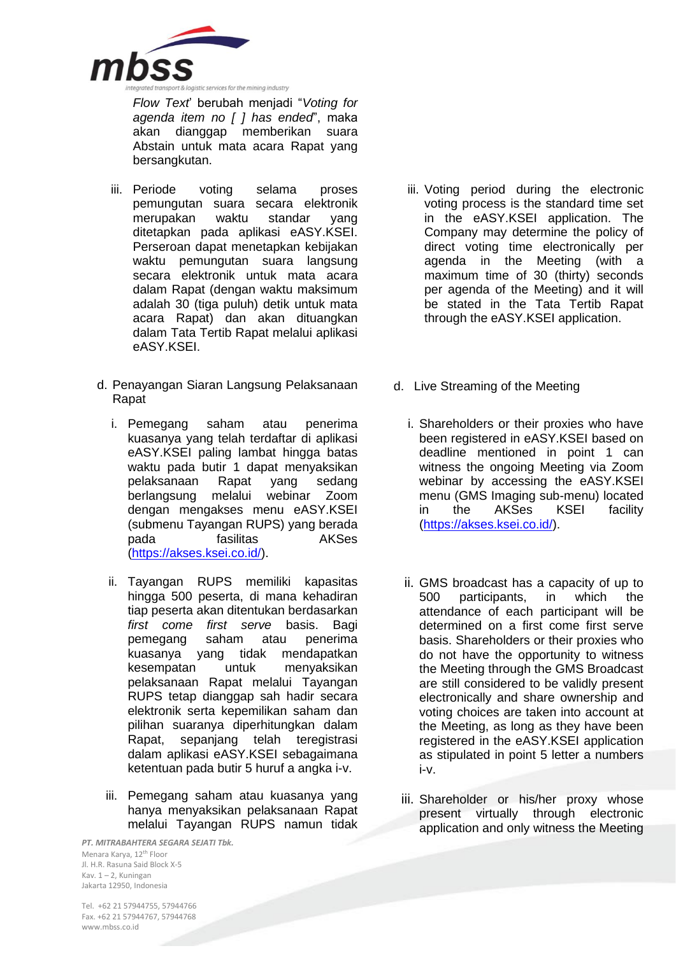

*Flow Text*' berubah menjadi "*Voting for agenda item no [ ] has ended*", maka akan dianggap memberikan suara Abstain untuk mata acara Rapat yang bersangkutan.

- iii. Periode voting selama proses pemungutan suara secara elektronik<br>merupakan waktu standar yang merupakan waktu standar yang ditetapkan pada aplikasi eASY.KSEI. Perseroan dapat menetapkan kebijakan waktu pemungutan suara langsung secara elektronik untuk mata acara dalam Rapat (dengan waktu maksimum adalah 30 (tiga puluh) detik untuk mata acara Rapat) dan akan dituangkan dalam Tata Tertib Rapat melalui aplikasi eASY.KSEI.
- d. Penayangan Siaran Langsung Pelaksanaan Rapat
	- i. Pemegang saham atau penerima kuasanya yang telah terdaftar di aplikasi eASY.KSEI paling lambat hingga batas waktu pada butir 1 dapat menyaksikan pelaksanaan Rapat yang sedang berlangsung melalui webinar Zoom dengan mengakses menu eASY.KSEI (submenu Tayangan RUPS) yang berada pada fasilitas AKSes [\(https://akses.ksei.co.id/\)](https://akses.ksei.co.id/).
	- ii. Tayangan RUPS memiliki kapasitas hingga 500 peserta, di mana kehadiran tiap peserta akan ditentukan berdasarkan *first come first serve* basis. Bagi pemegang saham atau penerima kuasanya yang tidak mendapatkan kesempatan untuk menyaksikan pelaksanaan Rapat melalui Tayangan RUPS tetap dianggap sah hadir secara elektronik serta kepemilikan saham dan pilihan suaranya diperhitungkan dalam Rapat, sepanjang telah teregistrasi dalam aplikasi eASY.KSEI sebagaimana ketentuan pada butir 5 huruf a angka i-v.
	- iii. Pemegang saham atau kuasanya yang hanya menyaksikan pelaksanaan Rapat melalui Tayangan RUPS namun tidak

*PT. MITRABAHTERA SEGARA SEJATI Tbk.* Menara Karya, 12th Floor Jl. H.R. Rasuna Said Block X-5 Kav. 1 – 2, Kuningan Jakarta 12950, Indonesia

- iii. Voting period during the electronic voting process is the standard time set in the eASY.KSEI application. The Company may determine the policy of direct voting time electronically per agenda in the Meeting (with a maximum time of 30 (thirty) seconds per agenda of the Meeting) and it will be stated in the Tata Tertib Rapat through the eASY.KSEI application.
- d. Live Streaming of the Meeting
	- i. Shareholders or their proxies who have been registered in eASY.KSEI based on deadline mentioned in point 1 can witness the ongoing Meeting via Zoom webinar by accessing the eASY.KSEI menu (GMS Imaging sub-menu) located in the AKSes KSEI facility [\(https://akses.ksei.co.id/\)](https://akses.ksei.co.id/).
	- ii. GMS broadcast has a capacity of up to 500 participants, in which the attendance of each participant will be determined on a first come first serve basis. Shareholders or their proxies who do not have the opportunity to witness the Meeting through the GMS Broadcast are still considered to be validly present electronically and share ownership and voting choices are taken into account at the Meeting, as long as they have been registered in the eASY.KSEI application as stipulated in point 5 letter a numbers i-v.
	- iii. Shareholder or his/her proxy whose present virtually through electronic application and only witness the Meeting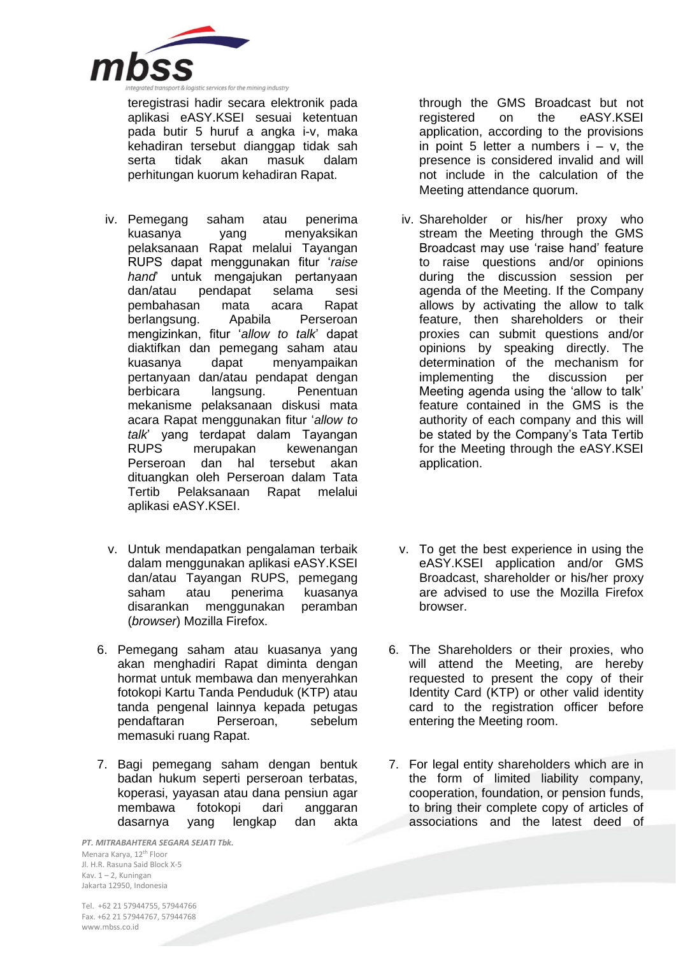

teregistrasi hadir secara elektronik pada aplikasi eASY.KSEI sesuai ketentuan pada butir 5 huruf a angka i-v, maka kehadiran tersebut dianggap tidak sah<br>serta tidak akan masuk dalam serta tidak akan masuk dalam perhitungan kuorum kehadiran Rapat.

- iv. Pemegang saham atau penerima kuasanya yang menyaksikan pelaksanaan Rapat melalui Tayangan RUPS dapat menggunakan fitur '*raise hand*' untuk mengajukan pertanyaan pendapat selama sesi pembahasan mata acara Rapat berlangsung. Apabila Perseroan mengizinkan, fitur '*allow to talk*' dapat diaktifkan dan pemegang saham atau kuasanya dapat menyampaikan pertanyaan dan/atau pendapat dengan berbicara langsung. Penentuan mekanisme pelaksanaan diskusi mata acara Rapat menggunakan fitur '*allow to talk*' yang terdapat dalam Tayangan RUPS merupakan kewenangan Perseroan dan hal tersebut akan dituangkan oleh Perseroan dalam Tata Tertib Pelaksanaan Rapat melalui aplikasi eASY.KSEI.
- v. Untuk mendapatkan pengalaman terbaik dalam menggunakan aplikasi eASY.KSEI dan/atau Tayangan RUPS, pemegang saham atau penerima kuasanya disarankan menggunakan peramban (*browser*) Mozilla Firefox.
- 6. Pemegang saham atau kuasanya yang akan menghadiri Rapat diminta dengan hormat untuk membawa dan menyerahkan fotokopi Kartu Tanda Penduduk (KTP) atau tanda pengenal lainnya kepada petugas pendaftaran Perseroan, sebelum memasuki ruang Rapat.
- 7. Bagi pemegang saham dengan bentuk badan hukum seperti perseroan terbatas, koperasi, yayasan atau dana pensiun agar membawa fotokopi dari anggaran dasarnya yang lengkap dan akta

*PT. MITRABAHTERA SEGARA SEJATI Tbk.* Menara Karya, 12th Floor Jl. H.R. Rasuna Said Block X-5 Kav. 1 – 2, Kuningan Jakarta 12950, Indonesia

through the GMS Broadcast but not registered on the eASY.KSEI application, according to the provisions in point 5 letter a numbers  $i - v$ , the presence is considered invalid and will not include in the calculation of the Meeting attendance quorum.

- iv. Shareholder or his/her proxy who stream the Meeting through the GMS Broadcast may use 'raise hand' feature to raise questions and/or opinions during the discussion session per agenda of the Meeting. If the Company allows by activating the allow to talk feature, then shareholders or their proxies can submit questions and/or opinions by speaking directly. The determination of the mechanism for implementing the discussion per Meeting agenda using the 'allow to talk' feature contained in the GMS is the authority of each company and this will be stated by the Company's Tata Tertib for the Meeting through the eASY.KSEI application.
- v. To get the best experience in using the eASY.KSEI application and/or GMS Broadcast, shareholder or his/her proxy are advised to use the Mozilla Firefox browser.
- 6. The Shareholders or their proxies, who will attend the Meeting, are hereby requested to present the copy of their Identity Card (KTP) or other valid identity card to the registration officer before entering the Meeting room.
- 7. For legal entity shareholders which are in the form of limited liability company, cooperation, foundation, or pension funds, to bring their complete copy of articles of associations and the latest deed of